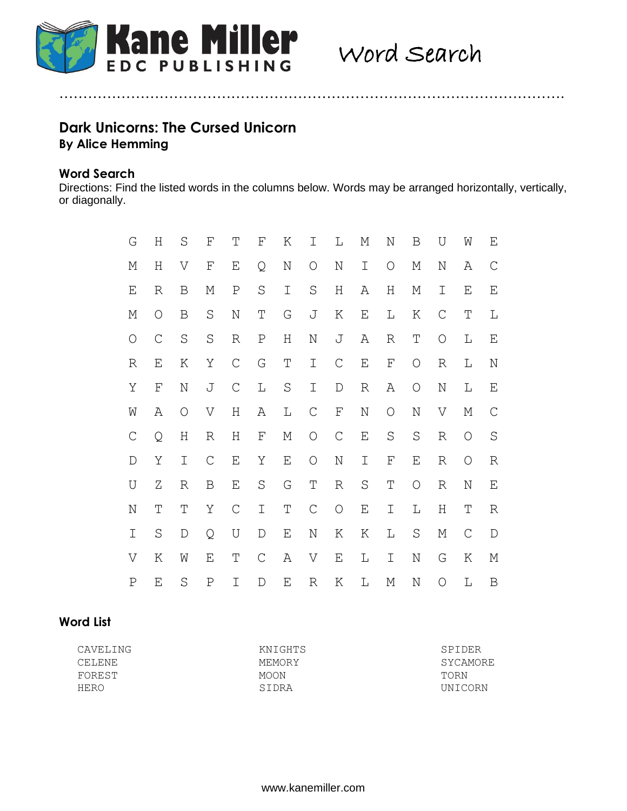

# **Dark Unicorns: The Cursed Unicorn By Alice Hemming**

### **Word Search**

Directions: Find the listed words in the columns below. Words may be arranged horizontally, vertically, or diagonally.

…………………………………………………………………………………………….

| G           | Η           | $\rm S$     | F             | Τ             | F             | Κ       | Ι             | L           | М           | N                  | Β           | U             | W           | Ε            |
|-------------|-------------|-------------|---------------|---------------|---------------|---------|---------------|-------------|-------------|--------------------|-------------|---------------|-------------|--------------|
| М           | $\rm H$     | V           | $\mathbf F$   | Ε             | Q             | N       | O             | $\rm N$     | I           | O                  | М           | N             | Α           | $\mathsf{C}$ |
| Ε           | R           | B           | М             | Ρ             | $\rm S$       | I       | $\rm S$       | Η           | Α           | Η                  | М           | Ι             | Ε           | Ε            |
| М           | $\circ$     | B           | $\rm S$       | $\rm N$       | Τ             | G       | J             | К           | Ε           | L                  | Κ           | $\mathcal{C}$ | Τ           | L            |
| $\bigcirc$  | $\mathsf C$ | $\rm S$     | $\rm S$       | R             | $\rm P$       | Η       | $\rm N$       | J           | Α           | R                  | Τ           | $\bigcirc$    | L           | Ε            |
| R           | Ε           | Κ           | Υ             | $\mathcal{C}$ | G             | Τ       | $\mathbbm{I}$ | $\mathsf C$ | E           | $\mathbf{F}% _{0}$ | $\bigcirc$  | R             | L           | N            |
| Υ           | F           | $\rm N$     | J             | $\mathsf C$   | $\mathbb L$   | $\rm S$ | $\mathbbm{I}$ | $\mathbb D$ | R           | Α                  | $\bigcirc$  | N             | L           | Ε            |
| W           | Α           | $\bigcirc$  | V             | $\rm H$       | А             | L       | $\mathsf C$   | $\mathbf F$ | N           | $\bigcirc$         | $\rm N$     | V             | М           | $\mathsf{C}$ |
| $\mathsf C$ | Q           | Η           | R             | Η             | F             | М       | $\bigcirc$    | $\mathsf C$ | $\mathbf E$ | $\rm S$            | $\rm S$     | R             | O           | $\rm S$      |
| $\mathbb D$ | Υ           | I           | $\mathcal{C}$ | Ε             | Υ             | Ε       | $\bigcirc$    | N           | I           | F                  | Ε           | R             | $\bigcirc$  | R            |
| U           | Ζ           | R           | B             | $\mathbf E$   | $\rm S$       | G       | $\mathbb T$   | R           | $\rm S$     | Τ                  | $\bigcirc$  | R             | N           | Ε            |
| $\rm N$     | T           | T           | Υ             | $\mathsf C$   | I             | T       | $\mathsf C$   | $\bigcirc$  | $\mathbf E$ | I                  | $\mathbb L$ | $\rm H$       | $\mathbb T$ | R            |
| I           | $\rm S$     | $\mathbb D$ | Q             | U             | $\mathbb D$   | Ε       | N             | Κ           | К           | L                  | $\rm S$     | М             | $\mathsf C$ | D            |
| V           | К           | W           | Ε             | Τ             | $\mathcal{C}$ | Α       | V             | Ε           | L           | Ι                  | N           | G             | Κ           | М            |
| Ρ           | Ε           | $\rm S$     | $\, {\bf P}$  | I             | D             | Ε       | R             | Κ           | L           | М                  | N           | O             | L           | B            |

### **Word List**

| CAVELING | KNIGHTS | SPIDER          |
|----------|---------|-----------------|
| CELENE   | MEMORY  | SYCAMORE        |
| FOREST   | MOON    | TORN            |
| HERO     | STDRA   | <b>IJNTCORN</b> |